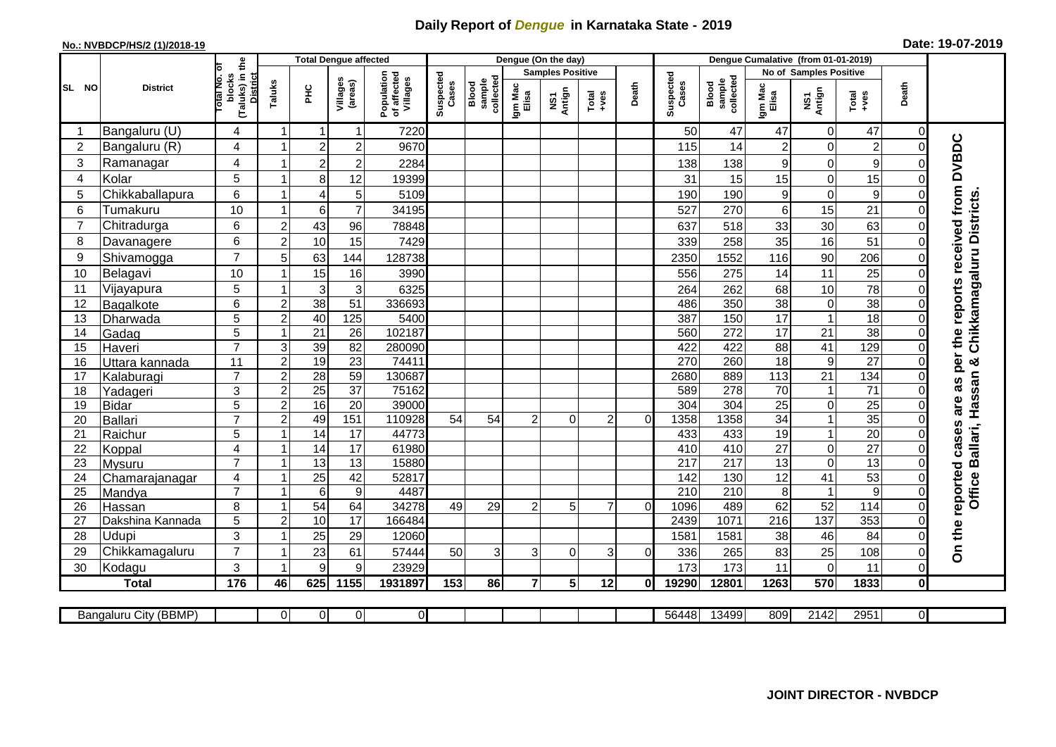## **Daily Report of** *Dengue* **in Karnataka State - 2019**

## **No.: NVBDCP/HS/2 (1)/2018-19 Date: 19-07-2019**

|                                                                                                                                        | <b>District</b>  |                                                      | <b>Total Dengue affected</b> |                 |                         |                                       |                    |                              |                         | Dengue (On the day) |                  |          |                    |                              |                  |                               |                  |                |                                        |
|----------------------------------------------------------------------------------------------------------------------------------------|------------------|------------------------------------------------------|------------------------------|-----------------|-------------------------|---------------------------------------|--------------------|------------------------------|-------------------------|---------------------|------------------|----------|--------------------|------------------------------|------------------|-------------------------------|------------------|----------------|----------------------------------------|
| SL NO                                                                                                                                  |                  |                                                      |                              |                 |                         |                                       |                    |                              | <b>Samples Positive</b> |                     |                  |          |                    |                              |                  | <b>No of Samples Positive</b> |                  |                |                                        |
|                                                                                                                                        |                  | (Taluks) in the<br>District<br>otal No. ol<br>blocks | Taluks                       | ΞÉ              | Villages<br>(areas)     | Population<br>of affected<br>Villages | Suspected<br>Cases | sample<br>collected<br>Blood | Igm Mac<br>Elisa        | NS1<br>Antign       | $Tota$<br>$+ves$ | Death    | Suspected<br>Cases | collected<br>sample<br>Blood | Igm Mac<br>Elisa | NS1<br>Antign                 | $Tota$<br>$+ves$ | Death          |                                        |
|                                                                                                                                        | Bangaluru (U)    | 4                                                    | $\overline{1}$               | -1              | $\mathbf{1}$            | 7220                                  |                    |                              |                         |                     |                  |          | 50                 | 47                           | 47               | 0                             | 47               | 0              |                                        |
| $\overline{2}$                                                                                                                         | Bangaluru (R)    | 4                                                    |                              | $\overline{2}$  | $\overline{\mathbf{c}}$ | 9670                                  |                    |                              |                         |                     |                  |          | 115                | 14                           | $\overline{2}$   | 0                             | $\overline{c}$   | $\mathbf 0$    |                                        |
| 3                                                                                                                                      | Ramanagar        | 4                                                    |                              | $\overline{2}$  | $\overline{2}$          | 2284                                  |                    |                              |                         |                     |                  |          | 138                | 138                          | 9                | 0                             | 9                | $\mathcal{C}$  | as per the reports received from DVBDC |
| $\overline{4}$                                                                                                                         | Kolar            | 5                                                    |                              | 8               | 12                      | 19399                                 |                    |                              |                         |                     |                  |          | 31                 | 15                           | 15               | $\mathbf 0$                   | 15               | $\Omega$       |                                        |
| 5                                                                                                                                      | Chikkaballapura  | 6                                                    | $\mathbf{1}$                 | $\overline{4}$  | 5                       | 5109                                  |                    |                              |                         |                     |                  |          | 190                | 190                          | 9                | 0                             | $\boldsymbol{9}$ | $\mathbf 0$    |                                        |
| 6                                                                                                                                      | Tumakuru         | 10                                                   | -1                           | 6               | $\overline{7}$          | 34195                                 |                    |                              |                         |                     |                  |          | 527                | 270                          | 6                | 15                            | 21               | 0              |                                        |
| $\overline{7}$                                                                                                                         | Chitradurga      | 6                                                    | $\overline{2}$               | 43              | 96                      | 78848                                 |                    |                              |                         |                     |                  |          | 637                | 518                          | 33               | 30                            | 63               | $\mathbf 0$    |                                        |
| 8                                                                                                                                      | Davanagere       | 6                                                    | $\overline{2}$               | 10              | 15                      | 7429                                  |                    |                              |                         |                     |                  |          | 339                | 258                          | 35               | 16                            | $\overline{51}$  | $\Omega$       |                                        |
| 9                                                                                                                                      | Shivamogga       | $\overline{7}$                                       | 5                            | 63              | 144                     | 128738                                |                    |                              |                         |                     |                  |          | 2350               | 1552                         | 116              | 90                            | 206              | $\Omega$       | Chikkamagaluru Districts               |
| 10                                                                                                                                     | Belagavi         | 10                                                   |                              | 15              | 16                      | 3990                                  |                    |                              |                         |                     |                  |          | 556                | 275                          | 14               | 11                            | 25               | $\Omega$       |                                        |
| 11                                                                                                                                     | Vijayapura       | 5                                                    |                              | 3               | $\mathbf{3}$            | 6325                                  |                    |                              |                         |                     |                  |          | 264                | 262                          | 68               | 10                            | 78               | $\Omega$       |                                        |
| 12                                                                                                                                     | Bagalkote        | 6                                                    | $\overline{c}$               | 38              | 51                      | 336693                                |                    |                              |                         |                     |                  |          | 486                | 350                          | $\overline{38}$  | $\boldsymbol{0}$              | 38               | $\mathbf 0$    |                                        |
| 13                                                                                                                                     | Dharwada         | $\overline{5}$                                       | $\overline{2}$               | 40              | 125                     | 5400                                  |                    |                              |                         |                     |                  |          | 387                | 150                          | 17               | $\overline{1}$                | 18               | $\mathbf 0$    |                                        |
| 14                                                                                                                                     | Gadag            | 5                                                    | $\mathbf{1}$                 | $\overline{21}$ | $\overline{26}$         | 102187                                |                    |                              |                         |                     |                  |          | 560                | 272                          | $\overline{17}$  | 21                            | 38               | $\mathbf 0$    |                                        |
| 15                                                                                                                                     | Haveri           | $\overline{7}$                                       | $\mathsf 3$                  | 39              | $\overline{82}$         | 280090                                |                    |                              |                         |                     |                  |          | 422                | 422                          | $\overline{88}$  | $\overline{41}$               | 129              | $\Omega$       |                                        |
| 16                                                                                                                                     | Uttara kannada   | 11                                                   | $\overline{c}$               | 19              | $\overline{23}$         | 74411                                 |                    |                              |                         |                     |                  |          | 270                | 260                          | $\overline{18}$  | $\boldsymbol{9}$              | $\overline{27}$  | $\Omega$       | න්                                     |
| 17                                                                                                                                     | Kalaburagi       | $\overline{7}$                                       | $\overline{2}$               | 28              | $\overline{59}$         | 130687                                |                    |                              |                         |                     |                  |          | 2680               | 889                          | 113              | $\overline{21}$               | 134              | $\Omega$       |                                        |
| 18                                                                                                                                     | Yadageri         | 3                                                    | $\overline{2}$               | $\overline{25}$ | $\overline{37}$         | 75162                                 |                    |                              |                         |                     |                  |          | 589                | 278                          | $70\,$           | $\mathbf{1}$                  | $\overline{71}$  | $\Omega$       | Hassan                                 |
| 19                                                                                                                                     | <b>Bidar</b>     | 5                                                    | $\boldsymbol{2}$             | 16              | $\overline{20}$         | 39000                                 |                    |                              |                         |                     |                  |          | 304                | 304                          | $\overline{25}$  | 0                             | $\overline{25}$  | $\mathbf 0$    | are                                    |
| 20                                                                                                                                     | <b>Ballari</b>   | $\overline{7}$                                       | $\overline{2}$               | 49              | 151                     | 110928                                | $\overline{54}$    | 54                           | $\overline{c}$          | 0                   | $\overline{c}$   | $\Omega$ | 1358               | 1358                         | 34               | $\mathbf{1}$                  | 35               | $\Omega$       |                                        |
| 21                                                                                                                                     | Raichur          | 5                                                    |                              | $\overline{14}$ | 17                      | 44773                                 |                    |                              |                         |                     |                  |          | 433                | 433                          | 19               | $\mathbf{1}$                  | 20               | $\mathbf 0$    | cases<br>Ballari,                      |
| 22                                                                                                                                     | Koppal           | $\overline{4}$                                       |                              | $\overline{14}$ | $\overline{17}$         | 61980                                 |                    |                              |                         |                     |                  |          | 410                | 410                          | $\overline{27}$  | $\mathbf 0$                   | $\overline{27}$  | $\overline{0}$ |                                        |
| 23                                                                                                                                     | Mysuru           | $\overline{7}$                                       | -1                           | $\overline{13}$ | $\overline{13}$         | 15880                                 |                    |                              |                         |                     |                  |          | $\overline{217}$   | $\overline{217}$             | $\overline{13}$  | 0                             | 13               | $\mathbf 0$    |                                        |
| 24                                                                                                                                     | Chamarajanagar   | 4                                                    | $\mathbf{1}$                 | $\overline{25}$ | 42                      | 52817                                 |                    |                              |                         |                     |                  |          | 142                | 130                          | $\overline{12}$  | 41                            | 53               | $\mathbf 0$    |                                        |
| 25                                                                                                                                     | Mandya           | $\overline{7}$                                       |                              | $\overline{6}$  | $\overline{9}$          | 4487                                  |                    |                              |                         |                     |                  |          | $\overline{210}$   | 210                          | 8                | $\mathbf{1}$                  | $\overline{9}$   | $\mathbf 0$    | Office                                 |
| 26                                                                                                                                     | Hassan           | 8                                                    | 1                            | 54              | 64                      | 34278                                 | 49                 | 29                           | $\overline{2}$          | 5                   | $\overline{7}$   | $\Omega$ | 1096               | 489                          | 62               | 52                            | 114              | $\mathbf 0$    |                                        |
| 27                                                                                                                                     | Dakshina Kannada | 5                                                    | $\overline{c}$               | 10              | $\overline{17}$         | 166484                                |                    |                              |                         |                     |                  |          | 2439               | 1071                         | 216              | 137                           | 353              | $\mathbf 0$    |                                        |
| 28                                                                                                                                     | Udupi            | 3                                                    |                              | 25              | 29                      | 12060                                 |                    |                              |                         |                     |                  |          | 1581               | 1581                         | 38               | 46                            | 84               | $\Omega$       | On the reported                        |
| 29                                                                                                                                     | Chikkamagaluru   | $\overline{7}$                                       |                              | 23              | 61                      | 57444                                 | 50                 | 3                            | 3                       | $\Omega$            | 3                | $\Omega$ | 336                | 265                          | 83               | 25                            | 108              | $\Omega$       |                                        |
| 30                                                                                                                                     | Kodagu           | 3                                                    |                              | 9               | 9                       | 23929                                 |                    |                              |                         |                     |                  |          | 173                | 173                          | 11               | 0                             | 11               | $\Omega$       |                                        |
|                                                                                                                                        | <b>Total</b>     | 176                                                  | 46                           | 625             | 1155                    | 1931897                               | 153                | 86                           | $\overline{7}$          | 5 <sub>1</sub>      | 12               | 0l       | 19290              | 12801                        | 1263             | 570                           | 1833             | $\bf{0}$       |                                        |
| οl<br>$\overline{0}$<br>56448<br>13499<br>2142<br>2951<br>Bangaluru City (BBMP)<br>$\Omega$<br>$\overline{0}$<br>809<br>$\overline{0}$ |                  |                                                      |                              |                 |                         |                                       |                    |                              |                         |                     |                  |          |                    |                              |                  |                               |                  |                |                                        |